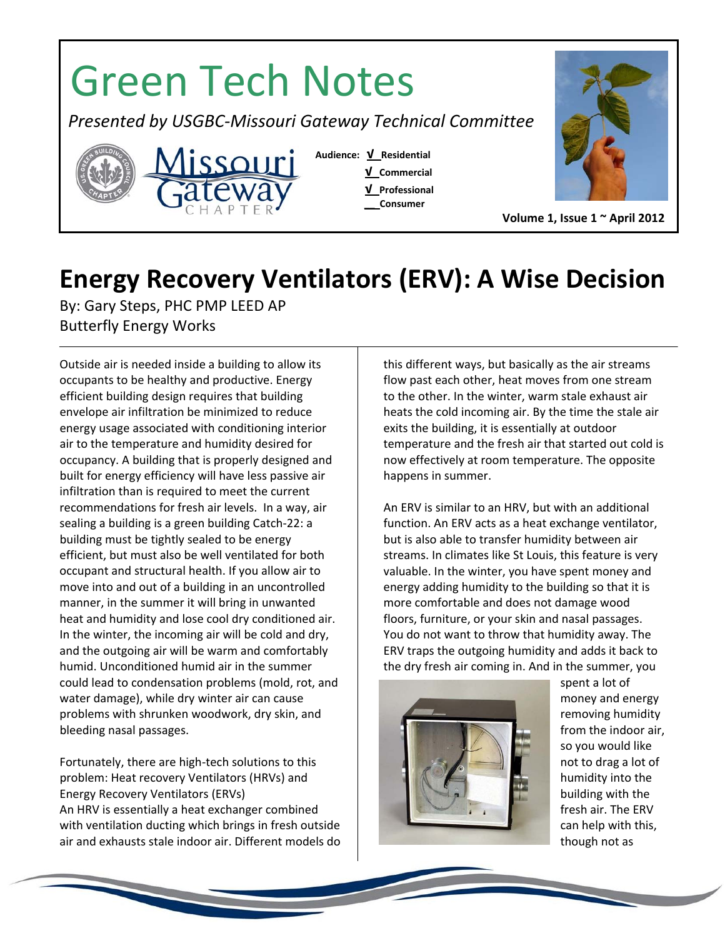## Green Tech Notes  *Presented by USGBC‐Missouri Gateway Technical Committee* **Audience: √ Residential**  <u>ssouri</u>  **√ Commercial √ Professional \_\_ Consumer Volume 1, Issue 1 ~ April 2012**

## **Energy Recovery Ventilators (ERV): A Wise Decision**

By: Gary Steps, PHC PMP LEED AP Butterfly Energy Works

Outside air is needed inside a building to allow its occupants to be healthy and productive. Energy efficient building design requires that building envelope air infiltration be minimized to reduce energy usage associated with conditioning interior air to the temperature and humidity desired for occupancy. A building that is properly designed and built for energy efficiency will have less passive air infiltration than is required to meet the current recommendations for fresh air levels. In a way, air sealing a building is a green building Catch‐22: a building must be tightly sealed to be energy efficient, but must also be well ventilated for both occupant and structural health. If you allow air to move into and out of a building in an uncontrolled manner, in the summer it will bring in unwanted heat and humidity and lose cool dry conditioned air. In the winter, the incoming air will be cold and dry, and the outgoing air will be warm and comfortably humid. Unconditioned humid air in the summer could lead to condensation problems (mold, rot, and water damage), while dry winter air can cause problems with shrunken woodwork, dry skin, and bleeding nasal passages.

Fortunately, there are high‐tech solutions to this problem: Heat recovery Ventilators (HRVs) and Energy Recovery Ventilators (ERVs) An HRV is essentially a heat exchanger combined with ventilation ducting which brings in fresh outside air and exhausts stale indoor air. Different models do this different ways, but basically as the air streams flow past each other, heat moves from one stream to the other. In the winter, warm stale exhaust air heats the cold incoming air. By the time the stale air exits the building, it is essentially at outdoor temperature and the fresh air that started out cold is now effectively at room temperature. The opposite happens in summer.

An ERV is similar to an HRV, but with an additional function. An ERV acts as a heat exchange ventilator, but is also able to transfer humidity between air streams. In climates like St Louis, this feature is very valuable. In the winter, you have spent money and energy adding humidity to the building so that it is more comfortable and does not damage wood floors, furniture, or your skin and nasal passages. You do not want to throw that humidity away. The ERV traps the outgoing humidity and adds it back to the dry fresh air coming in. And in the summer, you



spent a lot of money and energy removing humidity from the indoor air, so you would like not to drag a lot of humidity into the building with the fresh air. The ERV can help with this, though not as